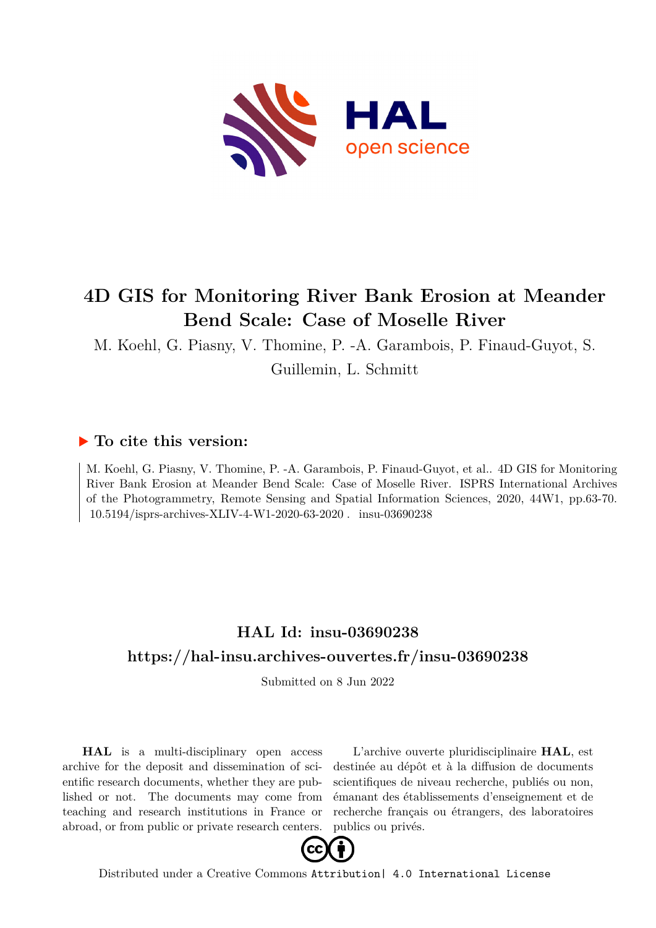

# **4D GIS for Monitoring River Bank Erosion at Meander Bend Scale: Case of Moselle River**

M. Koehl, G. Piasny, V. Thomine, P. -A. Garambois, P. Finaud-Guyot, S.

Guillemin, L. Schmitt

### **To cite this version:**

M. Koehl, G. Piasny, V. Thomine, P. -A. Garambois, P. Finaud-Guyot, et al.. 4D GIS for Monitoring River Bank Erosion at Meander Bend Scale: Case of Moselle River. ISPRS International Archives of the Photogrammetry, Remote Sensing and Spatial Information Sciences, 2020, 44W1, pp.63-70. 10.5194/isprs-archives-XLIV-4-W1-2020-63-2020 . insu-03690238

## **HAL Id: insu-03690238 <https://hal-insu.archives-ouvertes.fr/insu-03690238>**

Submitted on 8 Jun 2022

**HAL** is a multi-disciplinary open access archive for the deposit and dissemination of scientific research documents, whether they are published or not. The documents may come from teaching and research institutions in France or abroad, or from public or private research centers.

L'archive ouverte pluridisciplinaire **HAL**, est destinée au dépôt et à la diffusion de documents scientifiques de niveau recherche, publiés ou non, émanant des établissements d'enseignement et de recherche français ou étrangers, des laboratoires publics ou privés.



Distributed under a Creative Commons [Attribution| 4.0 International License](http://creativecommons.org/licenses/by/4.0/)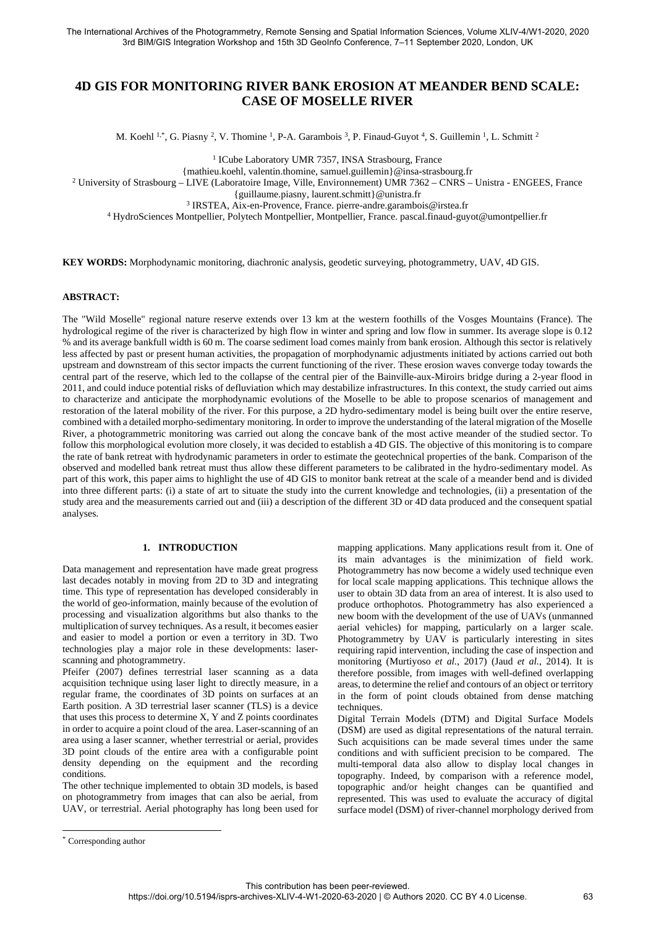### **4D GIS FOR MONITORING RIVER BANK EROSION AT MEANDER BEND SCALE: CASE OF MOSELLE RIVER**

M. Koehl <sup>1,\*</sup>, G. Piasny <sup>2</sup>, V. Thomine <sup>1</sup>, P-A. Garambois <sup>3</sup>, P. Finaud-Guyot <sup>4</sup>, S. Guillemin <sup>1</sup>, L. Schmitt <sup>2</sup>

<sup>1</sup> ICube Laboratory UMR 7357, INSA Strasbourg, France

{mathieu.koehl, valentin.thomine, samuel.guillemin}@insa-strasbourg.fr 2 University of Strasbourg – LIVE (Laboratoire Image, Ville, Environnement) UMR 7362 – CNRS – Unistra - ENGEES, France

{guillaume.piasny, laurent.schmitt}@unistra.fr 3 IRSTEA, Aix-en-Provence, France. pierre-andre.garambois@irstea.fr 4 HydroSciences Montpellier, Polytech Montpellier, Montpellier, France. pascal.finaud-guyot@umontpellier.fr

**KEY WORDS:** Morphodynamic monitoring, diachronic analysis, geodetic surveying, photogrammetry, UAV, 4D GIS.

#### **ABSTRACT:**

The "Wild Moselle" regional nature reserve extends over 13 km at the western foothills of the Vosges Mountains (France). The hydrological regime of the river is characterized by high flow in winter and spring and low flow in summer. Its average slope is 0.12 % and its average bankfull width is 60 m. The coarse sediment load comes mainly from bank erosion. Although this sector is relatively less affected by past or present human activities, the propagation of morphodynamic adjustments initiated by actions carried out both upstream and downstream of this sector impacts the current functioning of the river. These erosion waves converge today towards the central part of the reserve, which led to the collapse of the central pier of the Bainville-aux-Miroirs bridge during a 2-year flood in 2011, and could induce potential risks of defluviation which may destabilize infrastructures. In this context, the study carried out aims to characterize and anticipate the morphodynamic evolutions of the Moselle to be able to propose scenarios of management and restoration of the lateral mobility of the river. For this purpose, a 2D hydro-sedimentary model is being built over the entire reserve, combined with a detailed morpho-sedimentary monitoring. In order to improve the understanding of the lateral migration of the Moselle River, a photogrammetric monitoring was carried out along the concave bank of the most active meander of the studied sector. To follow this morphological evolution more closely, it was decided to establish a 4D GIS. The objective of this monitoring is to compare the rate of bank retreat with hydrodynamic parameters in order to estimate the geotechnical properties of the bank. Comparison of the observed and modelled bank retreat must thus allow these different parameters to be calibrated in the hydro-sedimentary model. As part of this work, this paper aims to highlight the use of 4D GIS to monitor bank retreat at the scale of a meander bend and is divided into three different parts: (i) a state of art to situate the study into the current knowledge and technologies, (ii) a presentation of the study area and the measurements carried out and (iii) a description of the different 3D or 4D data produced and the consequent spatial analyses.

#### **1. INTRODUCTION**

Data management and representation have made great progress last decades notably in moving from 2D to 3D and integrating time. This type of representation has developed considerably in the world of geo-information, mainly because of the evolution of processing and visualization algorithms but also thanks to the multiplication of survey techniques. As a result, it becomes easier and easier to model a portion or even a territory in 3D. Two technologies play a major role in these developments: laserscanning and photogrammetry.

Pfeifer (2007) defines terrestrial laser scanning as a data acquisition technique using laser light to directly measure, in a regular frame, the coordinates of 3D points on surfaces at an Earth position. A 3D terrestrial laser scanner (TLS) is a device that uses this process to determine X, Y and Z points coordinates in order to acquire a point cloud of the area. Laser-scanning of an area using a laser scanner, whether terrestrial or aerial, provides 3D point clouds of the entire area with a configurable point density depending on the equipment and the recording conditions.

The other technique implemented to obtain 3D models, is based on photogrammetry from images that can also be aerial, from UAV, or terrestrial. Aerial photography has long been used for

mapping applications. Many applications result from it. One of its main advantages is the minimization of field work. Photogrammetry has now become a widely used technique even for local scale mapping applications. This technique allows the user to obtain 3D data from an area of interest. It is also used to produce orthophotos. Photogrammetry has also experienced a new boom with the development of the use of UAVs (unmanned aerial vehicles) for mapping, particularly on a larger scale. Photogrammetry by UAV is particularly interesting in sites requiring rapid intervention, including the case of inspection and monitoring (Murtiyoso *et al.*, 2017) (Jaud *et al.*, 2014). It is therefore possible, from images with well-defined overlapping areas, to determine the relief and contours of an object or territory in the form of point clouds obtained from dense matching techniques.

Digital Terrain Models (DTM) and Digital Surface Models (DSM) are used as digital representations of the natural terrain. Such acquisitions can be made several times under the same conditions and with sufficient precision to be compared. The multi-temporal data also allow to display local changes in topography. Indeed, by comparison with a reference model, topographic and/or height changes can be quantified and represented. This was used to evaluate the accuracy of digital surface model (DSM) of river-channel morphology derived from

 $\overline{a}$ 

<sup>\*</sup> Corresponding author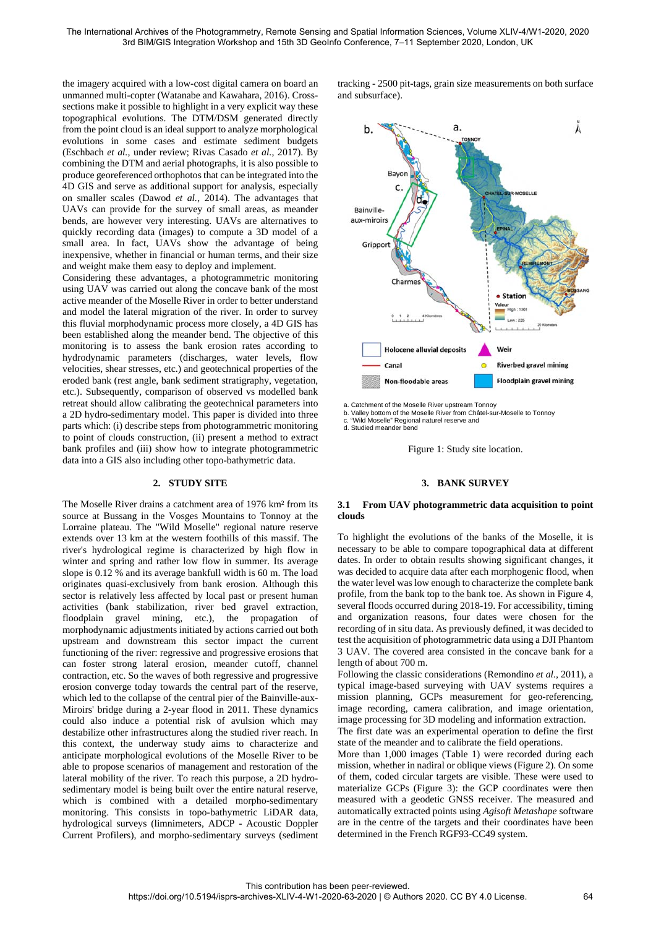the imagery acquired with a low-cost digital camera on board an unmanned multi-copter (Watanabe and Kawahara, 2016). Crosssections make it possible to highlight in a very explicit way these topographical evolutions. The DTM/DSM generated directly from the point cloud is an ideal support to analyze morphological evolutions in some cases and estimate sediment budgets (Eschbach *et al.*, under review; Rivas Casado *et al.*, 2017). By combining the DTM and aerial photographs, it is also possible to produce georeferenced orthophotos that can be integrated into the 4D GIS and serve as additional support for analysis, especially on smaller scales (Dawod *et al.*, 2014). The advantages that UAVs can provide for the survey of small areas, as meander bends, are however very interesting. UAVs are alternatives to quickly recording data (images) to compute a 3D model of a small area. In fact, UAVs show the advantage of being inexpensive, whether in financial or human terms, and their size and weight make them easy to deploy and implement.

Considering these advantages, a photogrammetric monitoring using UAV was carried out along the concave bank of the most active meander of the Moselle River in order to better understand and model the lateral migration of the river. In order to survey this fluvial morphodynamic process more closely, a 4D GIS has been established along the meander bend. The objective of this monitoring is to assess the bank erosion rates according to hydrodynamic parameters (discharges, water levels, flow velocities, shear stresses, etc.) and geotechnical properties of the eroded bank (rest angle, bank sediment stratigraphy, vegetation, etc.). Subsequently, comparison of observed vs modelled bank retreat should allow calibrating the geotechnical parameters into a 2D hydro-sedimentary model. This paper is divided into three parts which: (i) describe steps from photogrammetric monitoring to point of clouds construction, (ii) present a method to extract bank profiles and (iii) show how to integrate photogrammetric data into a GIS also including other topo-bathymetric data.

#### **2. STUDY SITE**

The Moselle River drains a catchment area of 1976 km² from its source at Bussang in the Vosges Mountains to Tonnoy at the Lorraine plateau. The "Wild Moselle" regional nature reserve extends over 13 km at the western foothills of this massif. The river's hydrological regime is characterized by high flow in winter and spring and rather low flow in summer. Its average slope is 0.12 % and its average bankfull width is 60 m. The load originates quasi-exclusively from bank erosion. Although this sector is relatively less affected by local past or present human activities (bank stabilization, river bed gravel extraction, floodplain gravel mining, etc.), the propagation of morphodynamic adjustments initiated by actions carried out both upstream and downstream this sector impact the current functioning of the river: regressive and progressive erosions that can foster strong lateral erosion, meander cutoff, channel contraction, etc. So the waves of both regressive and progressive erosion converge today towards the central part of the reserve, which led to the collapse of the central pier of the Bainville-aux-Miroirs' bridge during a 2-year flood in 2011. These dynamics could also induce a potential risk of avulsion which may destabilize other infrastructures along the studied river reach. In this context, the underway study aims to characterize and anticipate morphological evolutions of the Moselle River to be able to propose scenarios of management and restoration of the lateral mobility of the river. To reach this purpose, a 2D hydrosedimentary model is being built over the entire natural reserve, which is combined with a detailed morpho-sedimentary monitoring. This consists in topo-bathymetric LiDAR data, hydrological surveys (limnimeters, ADCP - Acoustic Doppler Current Profilers), and morpho-sedimentary surveys (sediment tracking - 2500 pit-tags, grain size measurements on both surface and subsurface).



a. Catchment of the Moselle River upstream Tonnoy b. Valley bottom of the Moselle River from Châtel-sur-Moselle to Tonnoy

d. Studied meander bend

Figure 1: Study site location.

### **3. BANK SURVEY**

#### **3.1 From UAV photogrammetric data acquisition to point clouds**

To highlight the evolutions of the banks of the Moselle, it is necessary to be able to compare topographical data at different dates. In order to obtain results showing significant changes, it was decided to acquire data after each morphogenic flood, when the water level was low enough to characterize the complete bank profile, from the bank top to the bank toe. As shown in Figure 4, several floods occurred during 2018-19. For accessibility, timing and organization reasons, four dates were chosen for the recording of in situ data. As previously defined, it was decided to test the acquisition of photogrammetric data using a DJI Phantom 3 UAV. The covered area consisted in the concave bank for a length of about 700 m.

Following the classic considerations (Remondino *et al.*, 2011), a typical image-based surveying with UAV systems requires a mission planning, GCPs measurement for geo-referencing, image recording, camera calibration, and image orientation, image processing for 3D modeling and information extraction.

The first date was an experimental operation to define the first state of the meander and to calibrate the field operations.

More than 1,000 images (Table 1) were recorded during each mission, whether in nadiral or oblique views (Figure 2). On some of them, coded circular targets are visible. These were used to materialize GCPs (Figure 3): the GCP coordinates were then measured with a geodetic GNSS receiver. The measured and automatically extracted points using *Agisoft Metashape* software are in the centre of the targets and their coordinates have been determined in the French RGF93-CC49 system.

<sup>&</sup>quot;Wild Moselle" Regional naturel reserve and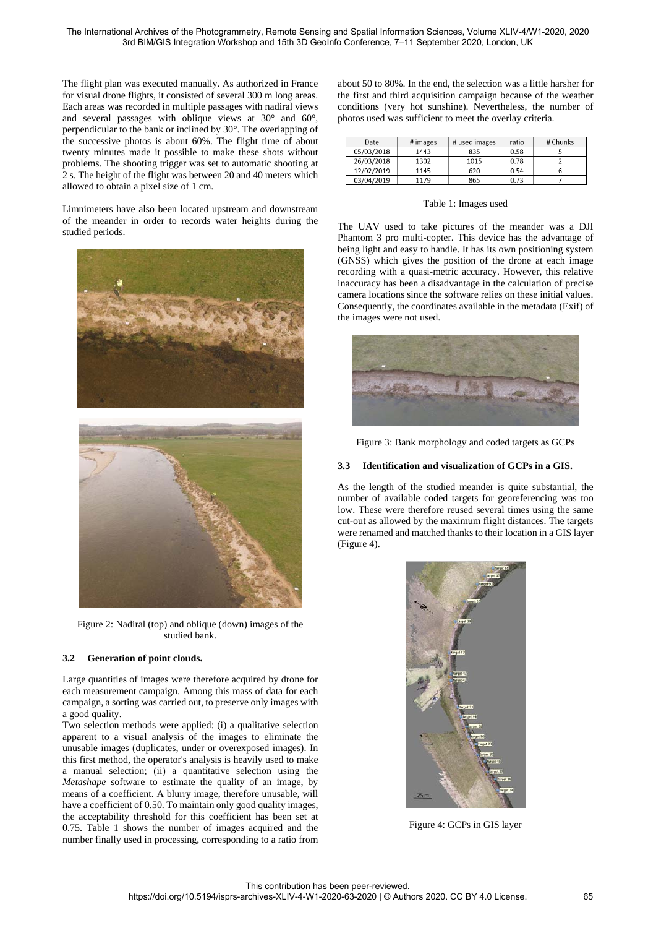The flight plan was executed manually. As authorized in France for visual drone flights, it consisted of several 300 m long areas. Each areas was recorded in multiple passages with nadiral views and several passages with oblique views at 30° and 60°, perpendicular to the bank or inclined by 30°. The overlapping of the successive photos is about 60%. The flight time of about twenty minutes made it possible to make these shots without problems. The shooting trigger was set to automatic shooting at 2 s. The height of the flight was between 20 and 40 meters which allowed to obtain a pixel size of 1 cm.

Limnimeters have also been located upstream and downstream of the meander in order to records water heights during the studied periods.





Figure 2: Nadiral (top) and oblique (down) images of the studied bank.

#### **3.2 Generation of point clouds.**

Large quantities of images were therefore acquired by drone for each measurement campaign. Among this mass of data for each campaign, a sorting was carried out, to preserve only images with a good quality.

Two selection methods were applied: (i) a qualitative selection apparent to a visual analysis of the images to eliminate the unusable images (duplicates, under or overexposed images). In this first method, the operator's analysis is heavily used to make a manual selection; (ii) a quantitative selection using the *Metashape* software to estimate the quality of an image, by means of a coefficient. A blurry image, therefore unusable, will have a coefficient of 0.50. To maintain only good quality images, the acceptability threshold for this coefficient has been set at 0.75. Table 1 shows the number of images acquired and the number finally used in processing, corresponding to a ratio from

about 50 to 80%. In the end, the selection was a little harsher for the first and third acquisition campaign because of the weather conditions (very hot sunshine). Nevertheless, the number of photos used was sufficient to meet the overlay criteria.

| Date       | # images | # used images | ratio | # Chunks |
|------------|----------|---------------|-------|----------|
| 05/03/2018 | 1443     | 835           | 0.58  |          |
| 26/03/2018 | 1302     | 1015          | 0.78  |          |
| 12/02/2019 | 1145     | 620           | 0.54  | o        |
| 03/04/2019 | 1179     | 865           | 0.73  |          |

#### Table 1: Images used

The UAV used to take pictures of the meander was a DJI Phantom 3 pro multi-copter. This device has the advantage of being light and easy to handle. It has its own positioning system (GNSS) which gives the position of the drone at each image recording with a quasi-metric accuracy. However, this relative inaccuracy has been a disadvantage in the calculation of precise camera locations since the software relies on these initial values. Consequently, the coordinates available in the metadata (Exif) of the images were not used.



Figure 3: Bank morphology and coded targets as GCPs

#### **3.3 Identification and visualization of GCPs in a GIS.**

As the length of the studied meander is quite substantial, the number of available coded targets for georeferencing was too low. These were therefore reused several times using the same cut-out as allowed by the maximum flight distances. The targets were renamed and matched thanks to their location in a GIS layer (Figure 4).



Figure 4: GCPs in GIS layer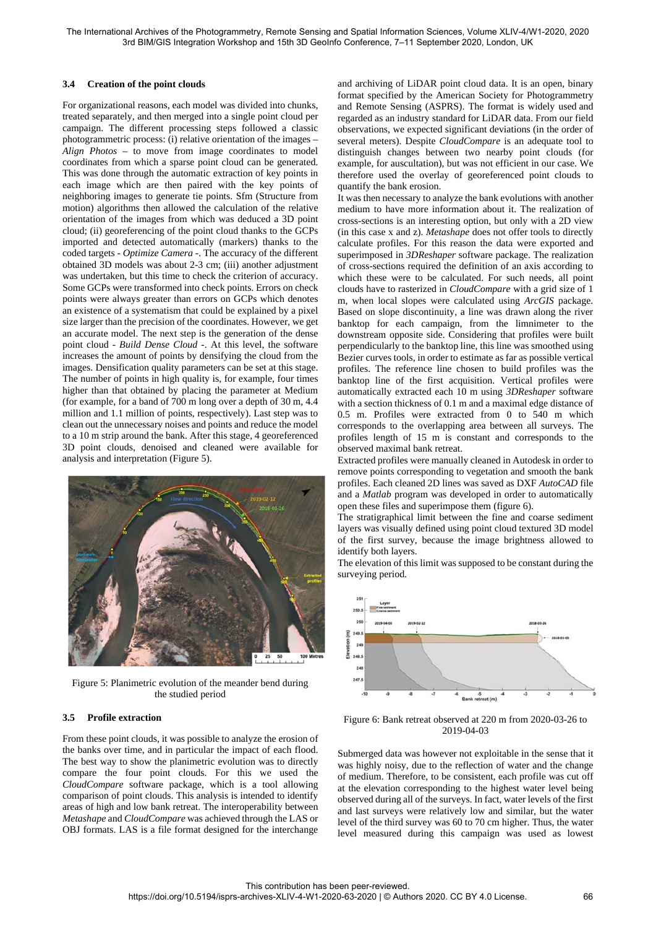#### **3.4 Creation of the point clouds**

For organizational reasons, each model was divided into chunks, treated separately, and then merged into a single point cloud per campaign. The different processing steps followed a classic photogrammetric process: (i) relative orientation of the images – *Align Photos* – to move from image coordinates to model coordinates from which a sparse point cloud can be generated. This was done through the automatic extraction of key points in each image which are then paired with the key points of neighboring images to generate tie points. Sfm (Structure from motion) algorithms then allowed the calculation of the relative orientation of the images from which was deduced a 3D point cloud; (ii) georeferencing of the point cloud thanks to the GCPs imported and detected automatically (markers) thanks to the coded targets - *Optimize Camera* -. The accuracy of the different obtained 3D models was about 2-3 cm; (iii) another adjustment was undertaken, but this time to check the criterion of accuracy. Some GCPs were transformed into check points. Errors on check points were always greater than errors on GCPs which denotes an existence of a systematism that could be explained by a pixel size larger than the precision of the coordinates. However, we get an accurate model. The next step is the generation of the dense point cloud - *Build Dense Cloud* -. At this level, the software increases the amount of points by densifying the cloud from the images. Densification quality parameters can be set at this stage. The number of points in high quality is, for example, four times higher than that obtained by placing the parameter at Medium (for example, for a band of 700 m long over a depth of 30 m, 4.4 million and 1.1 million of points, respectively). Last step was to clean out the unnecessary noises and points and reduce the model to a 10 m strip around the bank. After this stage, 4 georeferenced 3D point clouds, denoised and cleaned were available for analysis and interpretation (Figure 5).



Figure 5: Planimetric evolution of the meander bend during the studied period

#### **3.5 Profile extraction**

From these point clouds, it was possible to analyze the erosion of the banks over time, and in particular the impact of each flood. The best way to show the planimetric evolution was to directly compare the four point clouds. For this we used the *CloudCompare* software package, which is a tool allowing comparison of point clouds. This analysis is intended to identify areas of high and low bank retreat. The interoperability between *Metashape* and *CloudCompare* was achieved through the LAS or OBJ formats. LAS is a file format designed for the interchange

and archiving of LiDAR point cloud data. It is an open, binary format specified by the American Society for Photogrammetry and Remote Sensing (ASPRS). The format is widely used and regarded as an industry standard for LiDAR data. From our field observations, we expected significant deviations (in the order of several meters). Despite *CloudCompare* is an adequate tool to distinguish changes between two nearby point clouds (for example, for auscultation), but was not efficient in our case. We therefore used the overlay of georeferenced point clouds to quantify the bank erosion.

It was then necessary to analyze the bank evolutions with another medium to have more information about it. The realization of cross-sections is an interesting option, but only with a 2D view (in this case x and z). *Metashape* does not offer tools to directly calculate profiles. For this reason the data were exported and superimposed in *3DReshaper* software package. The realization of cross-sections required the definition of an axis according to which these were to be calculated. For such needs, all point clouds have to rasterized in *CloudCompare* with a grid size of 1 m, when local slopes were calculated using *ArcGIS* package. Based on slope discontinuity, a line was drawn along the river banktop for each campaign, from the limnimeter to the downstream opposite side. Considering that profiles were built perpendicularly to the banktop line, this line was smoothed using Bezier curves tools, in order to estimate as far as possible vertical profiles. The reference line chosen to build profiles was the banktop line of the first acquisition. Vertical profiles were automatically extracted each 10 m using *3DReshaper* software with a section thickness of 0.1 m and a maximal edge distance of 0.5 m. Profiles were extracted from 0 to 540 m which corresponds to the overlapping area between all surveys. The profiles length of 15 m is constant and corresponds to the observed maximal bank retreat.

Extracted profiles were manually cleaned in Autodesk in order to remove points corresponding to vegetation and smooth the bank profiles. Each cleaned 2D lines was saved as DXF *AutoCAD* file and a *Matlab* program was developed in order to automatically open these files and superimpose them (figure 6).

The stratigraphical limit between the fine and coarse sediment layers was visually defined using point cloud textured 3D model of the first survey, because the image brightness allowed to identify both layers.

The elevation of this limit was supposed to be constant during the surveying period.



Figure 6: Bank retreat observed at 220 m from 2020-03-26 to 2019-04-03

Submerged data was however not exploitable in the sense that it was highly noisy, due to the reflection of water and the change of medium. Therefore, to be consistent, each profile was cut off at the elevation corresponding to the highest water level being observed during all of the surveys. In fact, water levels of the first and last surveys were relatively low and similar, but the water level of the third survey was 60 to 70 cm higher. Thus, the water level measured during this campaign was used as lowest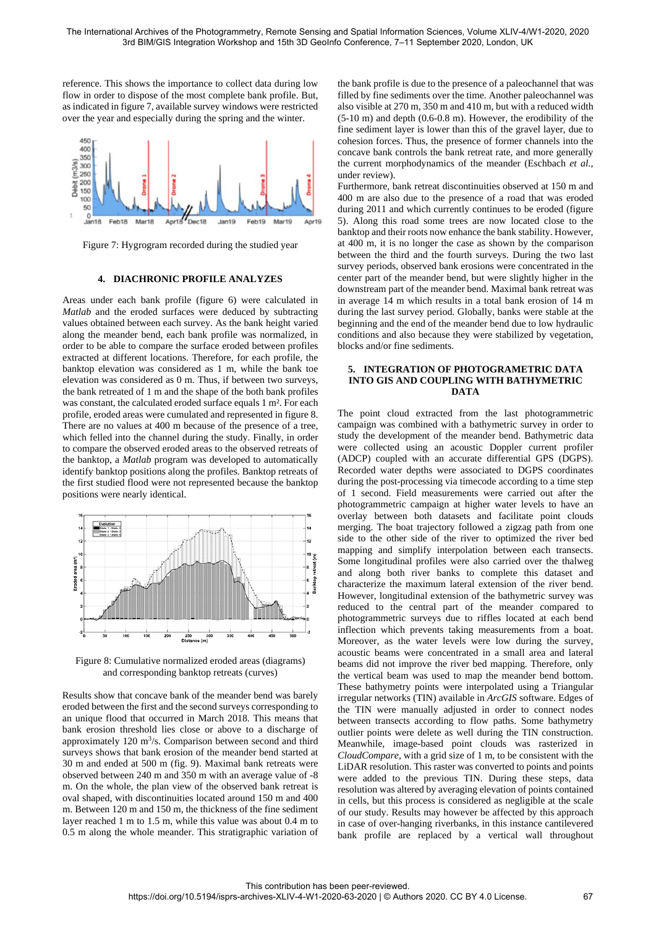reference. This shows the importance to collect data during low flow in order to dispose of the most complete bank profile. But, as indicated in figure 7, available survey windows were restricted over the year and especially during the spring and the winter.



Figure 7: Hygrogram recorded during the studied year

#### **4. DIACHRONIC PROFILE ANALYZES**

Areas under each bank profile (figure 6) were calculated in *Matlab* and the eroded surfaces were deduced by subtracting values obtained between each survey. As the bank height varied along the meander bend, each bank profile was normalized, in order to be able to compare the surface eroded between profiles extracted at different locations. Therefore, for each profile, the banktop elevation was considered as 1 m, while the bank toe elevation was considered as 0 m. Thus, if between two surveys, the bank retreated of 1 m and the shape of the both bank profiles was constant, the calculated eroded surface equals 1 m². For each profile, eroded areas were cumulated and represented in figure 8. There are no values at 400 m because of the presence of a tree, which felled into the channel during the study. Finally, in order to compare the observed eroded areas to the observed retreats of the banktop, a *Matlab* program was developed to automatically identify banktop positions along the profiles. Banktop retreats of the first studied flood were not represented because the banktop positions were nearly identical.



Figure 8: Cumulative normalized eroded areas (diagrams) and corresponding banktop retreats (curves)

Results show that concave bank of the meander bend was barely eroded between the first and the second surveys corresponding to an unique flood that occurred in March 2018. This means that bank erosion threshold lies close or above to a discharge of approximately  $120 \text{ m}^3$ /s. Comparison between second and third surveys shows that bank erosion of the meander bend started at 30 m and ended at 500 m (fig. 9). Maximal bank retreats were observed between 240 m and 350 m with an average value of -8 m. On the whole, the plan view of the observed bank retreat is oval shaped, with discontinuities located around 150 m and 400 m. Between 120 m and 150 m, the thickness of the fine sediment layer reached 1 m to 1.5 m, while this value was about 0.4 m to 0.5 m along the whole meander. This stratigraphic variation of

the bank profile is due to the presence of a paleochannel that was filled by fine sediments over the time. Another paleochannel was also visible at 270 m, 350 m and 410 m, but with a reduced width (5-10 m) and depth (0.6-0.8 m). However, the erodibility of the fine sediment layer is lower than this of the gravel layer, due to cohesion forces. Thus, the presence of former channels into the concave bank controls the bank retreat rate, and more generally the current morphodynamics of the meander (Eschbach *et al.*, under review).

Furthermore, bank retreat discontinuities observed at 150 m and 400 m are also due to the presence of a road that was eroded during 2011 and which currently continues to be eroded (figure 5). Along this road some trees are now located close to the banktop and their roots now enhance the bank stability. However, at 400 m, it is no longer the case as shown by the comparison between the third and the fourth surveys. During the two last survey periods, observed bank erosions were concentrated in the center part of the meander bend, but were slightly higher in the downstream part of the meander bend. Maximal bank retreat was in average 14 m which results in a total bank erosion of 14 m during the last survey period. Globally, banks were stable at the beginning and the end of the meander bend due to low hydraulic conditions and also because they were stabilized by vegetation, blocks and/or fine sediments.

#### **5. INTEGRATION OF PHOTOGRAMETRIC DATA INTO GIS AND COUPLING WITH BATHYMETRIC DATA**

The point cloud extracted from the last photogrammetric campaign was combined with a bathymetric survey in order to study the development of the meander bend. Bathymetric data were collected using an acoustic Doppler current profiler (ADCP) coupled with an accurate differential GPS (DGPS). Recorded water depths were associated to DGPS coordinates during the post-processing via timecode according to a time step of 1 second. Field measurements were carried out after the photogrammetric campaign at higher water levels to have an overlay between both datasets and facilitate point clouds merging. The boat trajectory followed a zigzag path from one side to the other side of the river to optimized the river bed mapping and simplify interpolation between each transects. Some longitudinal profiles were also carried over the thalweg and along both river banks to complete this dataset and characterize the maximum lateral extension of the river bend. However, longitudinal extension of the bathymetric survey was reduced to the central part of the meander compared to photogrammetric surveys due to riffles located at each bend inflection which prevents taking measurements from a boat. Moreover, as the water levels were low during the survey, acoustic beams were concentrated in a small area and lateral beams did not improve the river bed mapping. Therefore, only the vertical beam was used to map the meander bend bottom. These bathymetry points were interpolated using a Triangular irregular networks (TIN) available in *ArcGIS* software. Edges of the TIN were manually adjusted in order to connect nodes between transects according to flow paths. Some bathymetry outlier points were delete as well during the TIN construction. Meanwhile, image-based point clouds was rasterized in *CloudCompare*, with a grid size of 1 m, to be consistent with the LiDAR resolution. This raster was converted to points and points were added to the previous TIN. During these steps, data resolution was altered by averaging elevation of points contained in cells, but this process is considered as negligible at the scale of our study. Results may however be affected by this approach in case of over-hanging riverbanks, in this instance cantilevered bank profile are replaced by a vertical wall throughout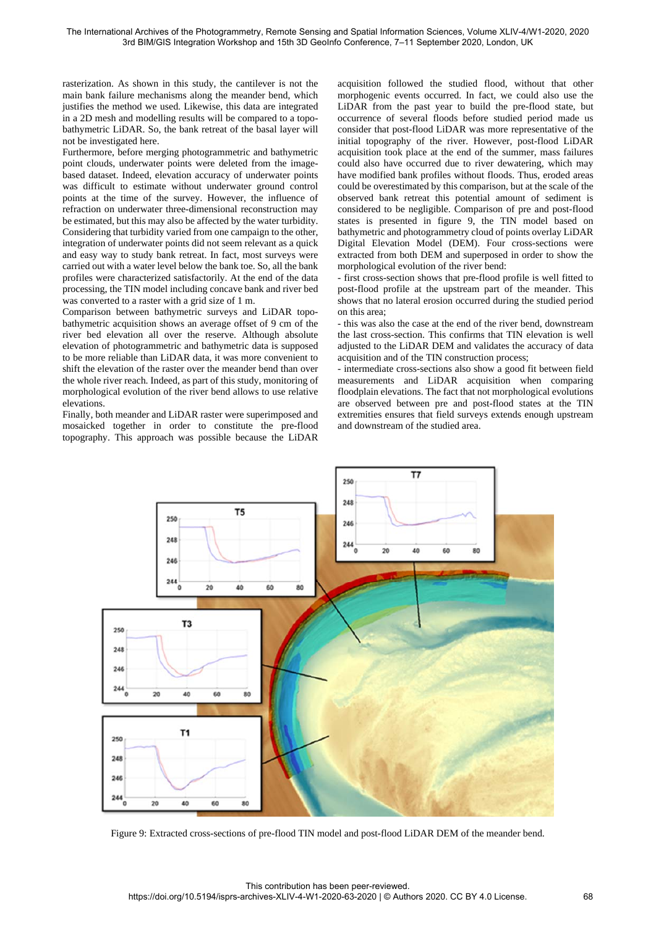rasterization. As shown in this study, the cantilever is not the main bank failure mechanisms along the meander bend, which justifies the method we used. Likewise, this data are integrated in a 2D mesh and modelling results will be compared to a topobathymetric LiDAR. So, the bank retreat of the basal layer will not be investigated here.

Furthermore, before merging photogrammetric and bathymetric point clouds, underwater points were deleted from the imagebased dataset. Indeed, elevation accuracy of underwater points was difficult to estimate without underwater ground control points at the time of the survey. However, the influence of refraction on underwater three-dimensional reconstruction may be estimated, but this may also be affected by the water turbidity. Considering that turbidity varied from one campaign to the other, integration of underwater points did not seem relevant as a quick and easy way to study bank retreat. In fact, most surveys were carried out with a water level below the bank toe. So, all the bank profiles were characterized satisfactorily. At the end of the data processing, the TIN model including concave bank and river bed was converted to a raster with a grid size of 1 m.

Comparison between bathymetric surveys and LiDAR topobathymetric acquisition shows an average offset of 9 cm of the river bed elevation all over the reserve. Although absolute elevation of photogrammetric and bathymetric data is supposed to be more reliable than LiDAR data, it was more convenient to shift the elevation of the raster over the meander bend than over the whole river reach. Indeed, as part of this study, monitoring of morphological evolution of the river bend allows to use relative elevations.

Finally, both meander and LiDAR raster were superimposed and mosaicked together in order to constitute the pre-flood topography. This approach was possible because the LiDAR

acquisition followed the studied flood, without that other morphogenic events occurred. In fact, we could also use the LiDAR from the past year to build the pre-flood state, but occurrence of several floods before studied period made us consider that post-flood LiDAR was more representative of the initial topography of the river. However, post-flood LiDAR acquisition took place at the end of the summer, mass failures could also have occurred due to river dewatering, which may have modified bank profiles without floods. Thus, eroded areas could be overestimated by this comparison, but at the scale of the observed bank retreat this potential amount of sediment is considered to be negligible. Comparison of pre and post-flood states is presented in figure 9, the TIN model based on bathymetric and photogrammetry cloud of points overlay LiDAR Digital Elevation Model (DEM). Four cross-sections were extracted from both DEM and superposed in order to show the morphological evolution of the river bend:

- first cross-section shows that pre-flood profile is well fitted to post-flood profile at the upstream part of the meander. This shows that no lateral erosion occurred during the studied period on this area;

- this was also the case at the end of the river bend, downstream the last cross-section. This confirms that TIN elevation is well adjusted to the LiDAR DEM and validates the accuracy of data acquisition and of the TIN construction process;

- intermediate cross-sections also show a good fit between field measurements and LiDAR acquisition when comparing floodplain elevations. The fact that not morphological evolutions are observed between pre and post-flood states at the TIN extremities ensures that field surveys extends enough upstream and downstream of the studied area.



Figure 9: Extracted cross-sections of pre-flood TIN model and post-flood LiDAR DEM of the meander bend.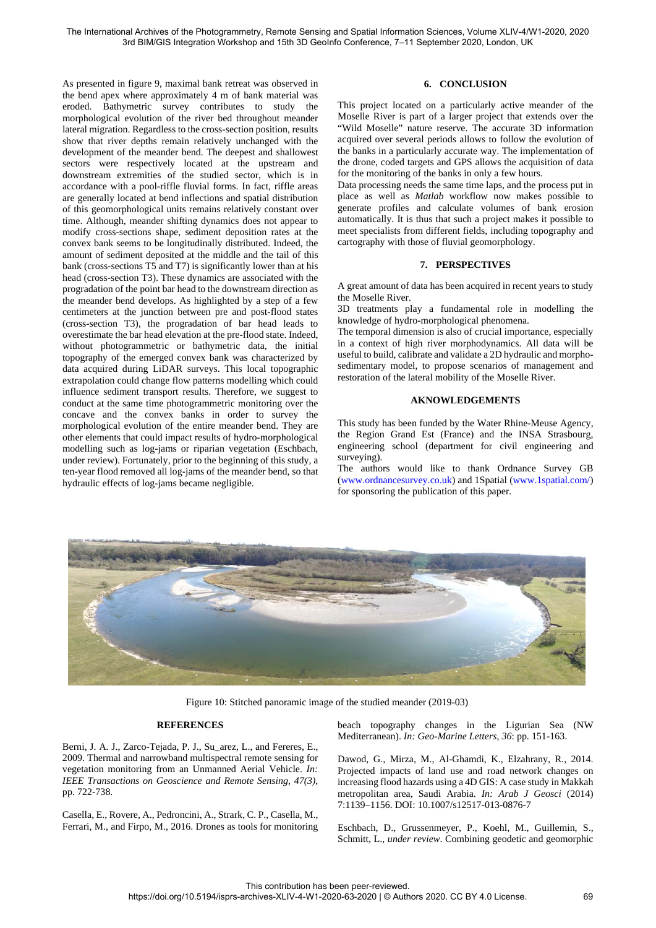As presented in figure 9, maximal bank retreat was observed in the bend apex where approximately 4 m of bank material was eroded. Bathymetric survey contributes to study the morphological evolution of the river bed throughout meander lateral migration. Regardless to the cross-section position, results show that river depths remain relatively unchanged with the development of the meander bend. The deepest and shallowest sectors were respectively located at the upstream and downstream extremities of the studied sector, which is in accordance with a pool-riffle fluvial forms. In fact, riffle areas are generally located at bend inflections and spatial distribution of this geomorphological units remains relatively constant over time. Although, meander shifting dynamics does not appear to modify cross-sections shape, sediment deposition rates at the convex bank seems to be longitudinally distributed. Indeed, the amount of sediment deposited at the middle and the tail of this bank (cross-sections T5 and T7) is significantly lower than at his head (cross-section T3). These dynamics are associated with the progradation of the point bar head to the downstream direction as the meander bend develops. As highlighted by a step of a few centimeters at the junction between pre and post-flood states (cross-section T3), the progradation of bar head leads to overestimate the bar head elevation at the pre-flood state. Indeed, without photogrammetric or bathymetric data, the initial topography of the emerged convex bank was characterized by data acquired during LiDAR surveys. This local topographic extrapolation could change flow patterns modelling which could influence sediment transport results. Therefore, we suggest to conduct at the same time photogrammetric monitoring over the concave and the convex banks in order to survey the morphological evolution of the entire meander bend. They are other elements that could impact results of hydro-morphological modelling such as log-jams or riparian vegetation (Eschbach, under review). Fortunately, prior to the beginning of this study, a ten-year flood removed all log-jams of the meander bend, so that hydraulic effects of log-jams became negligible.

#### **6. CONCLUSION**

This project located on a particularly active meander of the Moselle River is part of a larger project that extends over the "Wild Moselle" nature reserve. The accurate 3D information acquired over several periods allows to follow the evolution of the banks in a particularly accurate way. The implementation of the drone, coded targets and GPS allows the acquisition of data for the monitoring of the banks in only a few hours.

Data processing needs the same time laps, and the process put in place as well as *Matlab* workflow now makes possible to generate profiles and calculate volumes of bank erosion automatically. It is thus that such a project makes it possible to meet specialists from different fields, including topography and cartography with those of fluvial geomorphology.

#### **7. PERSPECTIVES**

A great amount of data has been acquired in recent years to study the Moselle River.

3D treatments play a fundamental role in modelling the knowledge of hydro-morphological phenomena.

The temporal dimension is also of crucial importance, especially in a context of high river morphodynamics. All data will be useful to build, calibrate and validate a 2D hydraulic and morphosedimentary model, to propose scenarios of management and restoration of the lateral mobility of the Moselle River.

#### **AKNOWLEDGEMENTS**

This study has been funded by the Water Rhine-Meuse Agency, the Region Grand Est (France) and the INSA Strasbourg, engineering school (department for civil engineering and surveying).

The authors would like to thank Ordnance Survey GB (www.ordnancesurvey.co.uk) and 1Spatial (www.1spatial.com/) for sponsoring the publication of this paper.



Figure 10: Stitched panoramic image of the studied meander (2019-03)

#### **REFERENCES**

Berni, J. A. J., Zarco-Tejada, P. J., Su\_arez, L., and Fereres, E., 2009. Thermal and narrowband multispectral remote sensing for vegetation monitoring from an Unmanned Aerial Vehicle. *In: IEEE Transactions on Geoscience and Remote Sensing, 47(3)*, pp. 722-738.

Casella, E., Rovere, A., Pedroncini, A., Strark, C. P., Casella, M., Ferrari, M., and Firpo, M., 2016. Drones as tools for monitoring beach topography changes in the Ligurian Sea (NW Mediterranean). *In: Geo-Marine Letters, 36*: pp. 151-163.

Dawod, G., Mirza, M., Al-Ghamdi, K., Elzahrany, R., 2014. Projected impacts of land use and road network changes on increasing flood hazards using a 4D GIS: A case study in Makkah metropolitan area, Saudi Arabia. *In: Arab J Geosci* (2014) 7:1139–1156. DOI: 10.1007/s12517-013-0876-7

Eschbach, D., Grussenmeyer, P., Koehl, M., Guillemin, S., Schmitt, L., *under review*. Combining geodetic and geomorphic